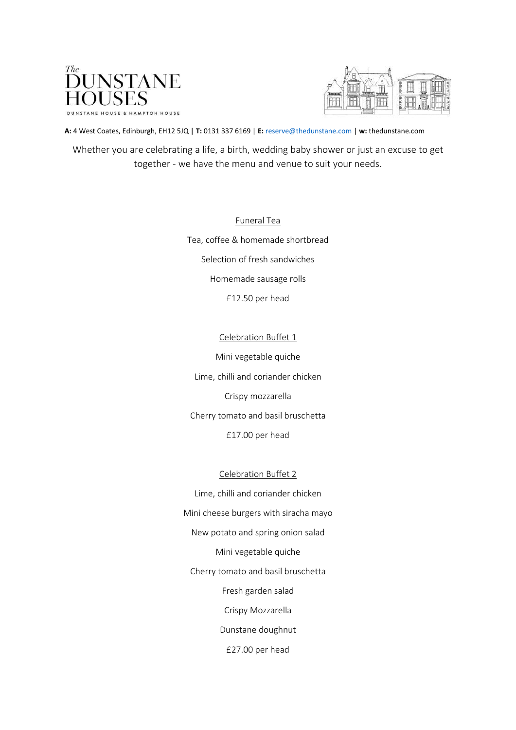



**A:** 4 West Coates, Edinburgh, EH12 5JQ | **T:** 0131 337 6169 | **E:** reserve@thedunstane.com | **w:** thedunstane.com

Whether you are celebrating a life, a birth, wedding baby shower or just an excuse to get together - we have the menu and venue to suit your needs.

> Funeral Tea Tea, coffee & homemade shortbread Selection of fresh sandwiches Homemade sausage rolls £12.50 per head

> > Celebration Buffet 1

Mini vegetable quiche Lime, chilli and coriander chicken Crispy mozzarella Cherry tomato and basil bruschetta £17.00 per head

## Celebration Buffet 2

Lime, chilli and coriander chicken Mini cheese burgers with siracha mayo New potato and spring onion salad Mini vegetable quiche Cherry tomato and basil bruschetta Fresh garden salad Crispy Mozzarella Dunstane doughnut £27.00 per head